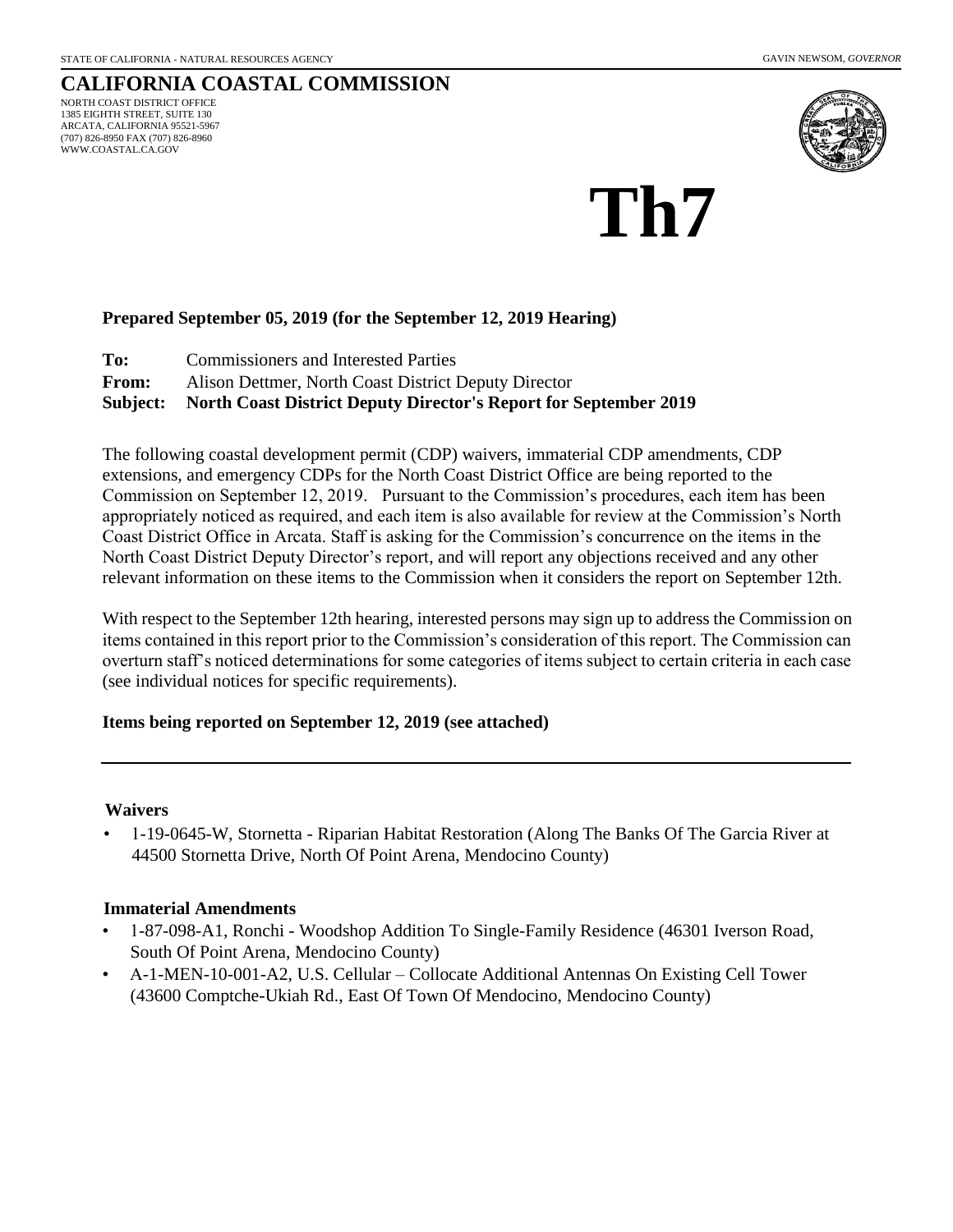WWW.COASTAL.CA.GOV

#### **CALIFORNIA COASTAL COMMISSION** NORTH COAST DISTRICT OFFICE 1385 EIGHTH STREET, SUITE 130 ARCATA, CALIFORNIA 95521-5967 (707) 826-8950 FAX (707) 826-8960



# **Th7**

# **Prepared September 05, 2019 (for the September 12, 2019 Hearing)**

**To:** Commissioners and Interested Parties

**From:** Alison Dettmer, North Coast District Deputy Director

**Subject: North Coast District Deputy Director's Report for September 2019** 

The following coastal development permit (CDP) waivers, immaterial CDP amendments, CDP extensions, and emergency CDPs for the North Coast District Office are being reported to the Commission on September 12, 2019. Pursuant to the Commission's procedures, each item has been appropriately noticed as required, and each item is also available for review at the Commission's North Coast District Office in Arcata. Staff is asking for the Commission's concurrence on the items in the North Coast District Deputy Director's report, and will report any objections received and any other relevant information on these items to the Commission when it considers the report on September 12th.

With respect to the September 12th hearing, interested persons may sign up to address the Commission on items contained in this report prior to the Commission's consideration of this report. The Commission can overturn staff's noticed determinations for some categories of items subject to certain criteria in each case (see individual notices for specific requirements).

### **Items being reported on September 12, 2019 (see attached)**

### **Waivers**

• 1-19-0645-W, Stornetta - Riparian Habitat Restoration (Along The Banks Of The Garcia River at 44500 Stornetta Drive, North Of Point Arena, Mendocino County)

### **Immaterial Amendments**

- 1-87-098-A1, Ronchi Woodshop Addition To Single-Family Residence (46301 Iverson Road, South Of Point Arena, Mendocino County)
- A-1-MEN-10-001-A2, U.S. Cellular Collocate Additional Antennas On Existing Cell Tower (43600 Comptche-Ukiah Rd., East Of Town Of Mendocino, Mendocino County)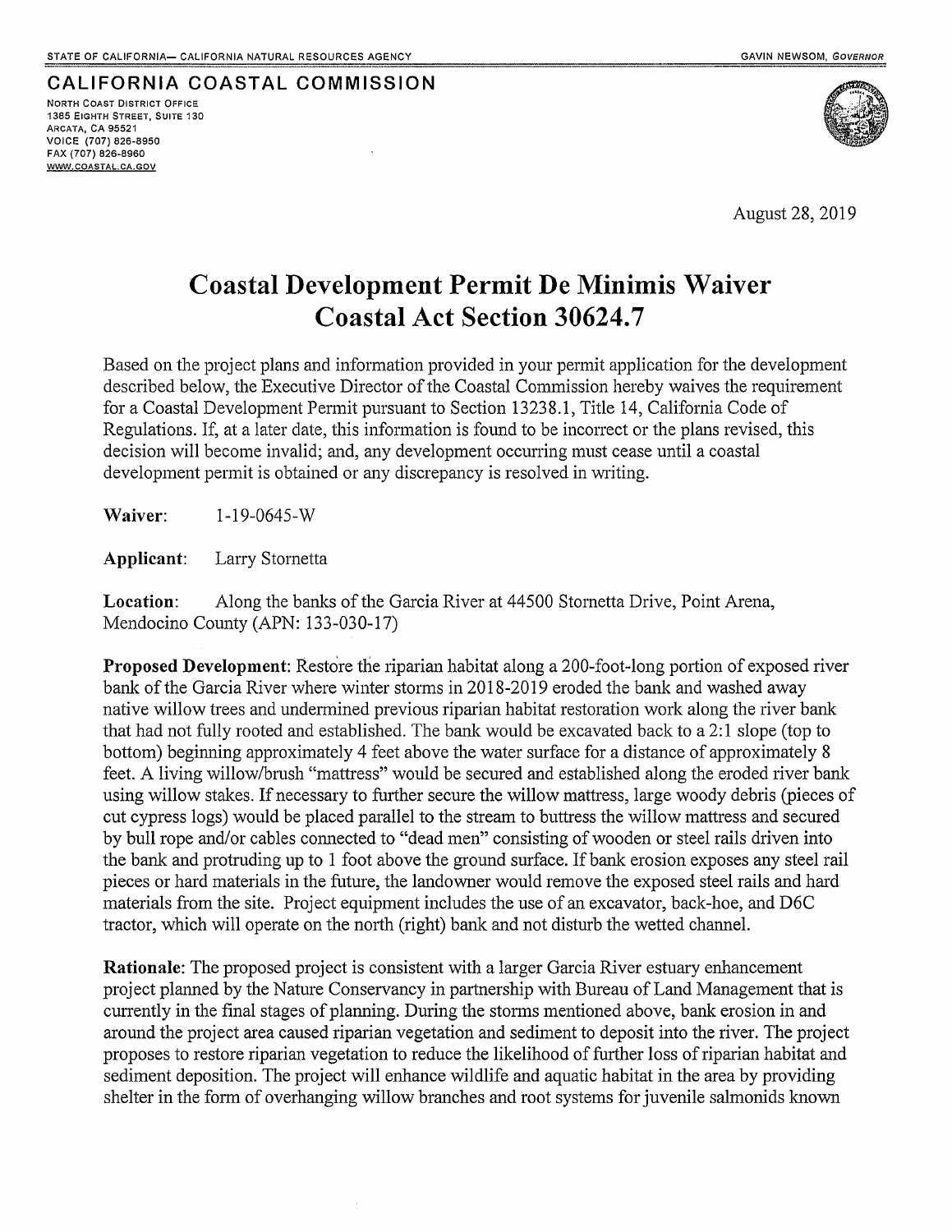# CALIFORNIA COASTAL COMMISSION **NORTH COAST DISTRICT OFFICE**

1385 EIGHTH STREET, SUITE 130 **ARCATA, CA 95521** VOICE (707) 826-8950 FAX (707) 826-8960 WWW.COASTAL.CA.GOV



August 28, 2019

# **Coastal Development Permit De Minimis Waiver Coastal Act Section 30624.7**

Based on the project plans and information provided in your permit application for the development described below, the Executive Director of the Coastal Commission hereby waives the requirement for a Coastal Development Permit pursuant to Section 13238.1, Title 14, California Code of Regulations. If, at a later date, this information is found to be incorrect or the plans revised, this decision will become invalid; and, any development occurring must cease until a coastal development permit is obtained or any discrepancy is resolved in writing.

Waiver:  $1 - 19 - 0645 - W$ 

Applicant: Larry Stornetta

Location: Along the banks of the Garcia River at 44500 Stornetta Drive, Point Arena, Mendocino County (APN: 133-030-17)

**Proposed Development:** Restore the riparian habitat along a 200-foot-long portion of exposed river bank of the Garcia River where winter storms in 2018-2019 eroded the bank and washed away native willow trees and undermined previous riparian habitat restoration work along the river bank that had not fully rooted and established. The bank would be excavated back to a 2:1 slope (top to bottom) beginning approximately 4 feet above the water surface for a distance of approximately 8 feet. A living willow/brush "mattress" would be secured and established along the eroded river bank using willow stakes. If necessary to further secure the willow mattress, large woody debris (pieces of cut cypress logs) would be placed parallel to the stream to buttress the willow mattress and secured by bull rope and/or cables connected to "dead men" consisting of wooden or steel rails driven into the bank and protruding up to 1 foot above the ground surface. If bank erosion exposes any steel rail pieces or hard materials in the future, the landowner would remove the exposed steel rails and hard materials from the site. Project equipment includes the use of an excavator, back-hoe, and D6C tractor, which will operate on the north (right) bank and not disturb the wetted channel.

Rationale: The proposed project is consistent with a larger Garcia River estuary enhancement project planned by the Nature Conservancy in partnership with Bureau of Land Management that is currently in the final stages of planning. During the storms mentioned above, bank erosion in and around the project area caused riparian vegetation and sediment to deposit into the river. The project proposes to restore riparian vegetation to reduce the likelihood of further loss of riparian habitat and sediment deposition. The project will enhance wildlife and aquatic habitat in the area by providing shelter in the form of overhanging willow branches and root systems for juvenile salmonids known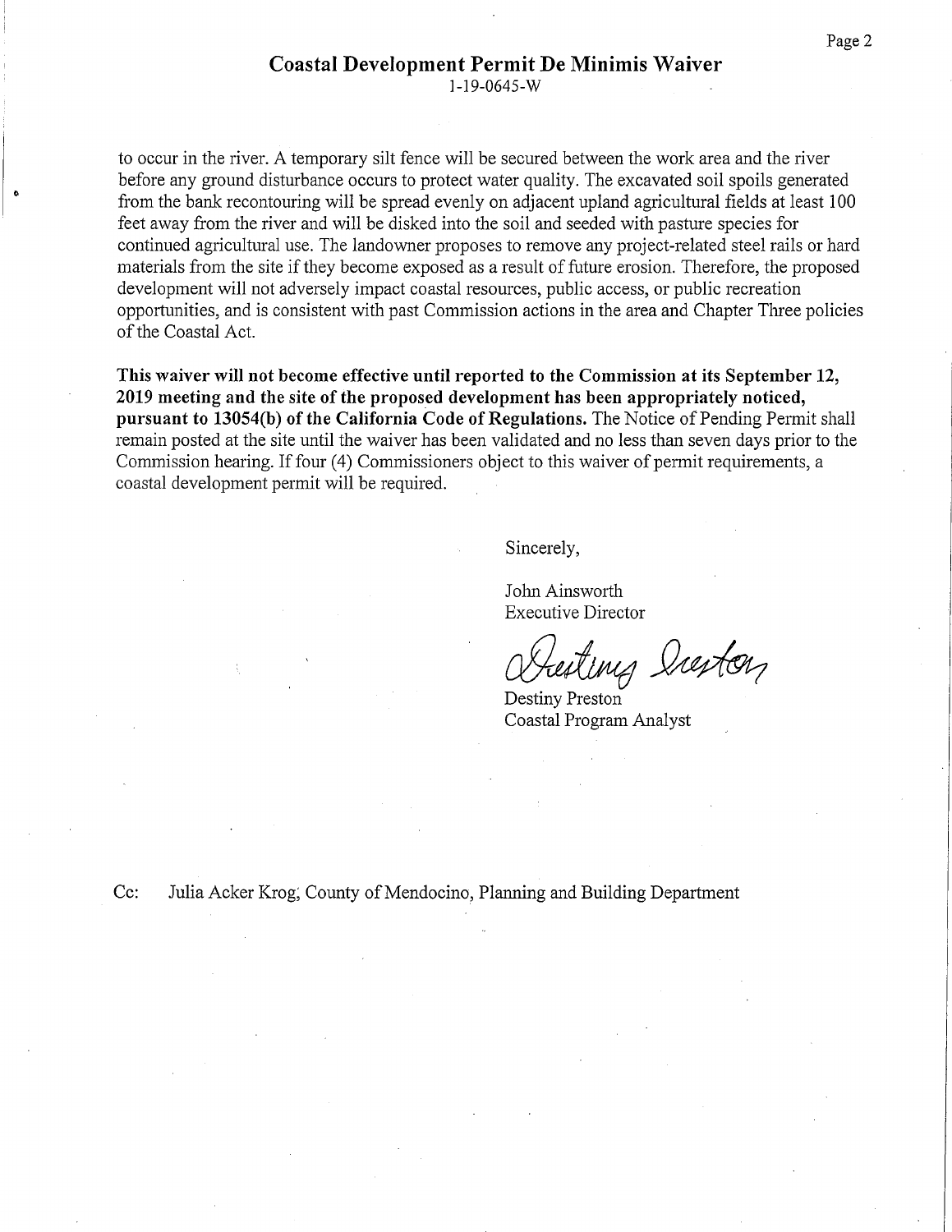$1-19-0645-W$ 

to occur in the river. A temporary silt fence will be secured between the work area and the river before any ground disturbance occurs to protect water quality. The excavated soil spoils generated from the bank recontouring will be spread evenly on adjacent upland agricultural fields at least 100 feet away from the river and will be disked into the soil and seeded with pasture species for continued agricultural use. The landowner proposes to remove any project-related steel rails or hard materials from the site if they become exposed as a result of future erosion. Therefore, the proposed development will not adversely impact coastal resources, public access, or public recreation opportunities, and is consistent with past Commission actions in the area and Chapter Three policies of the Coastal Act.

This waiver will not become effective until reported to the Commission at its September 12, 2019 meeting and the site of the proposed development has been appropriately noticed, pursuant to 13054(b) of the California Code of Regulations. The Notice of Pending Permit shall remain posted at the site until the waiver has been validated and no less than seven days prior to the Commission hearing. If four (4) Commissioners object to this waiver of permit requirements, a coastal development permit will be required.

Sincerely,

John Ainsworth **Executive Director** 

Destiny Preston Coastal Program Analyst

 $Cc$ : Julia Acker Krog, County of Mendocino, Planning and Building Department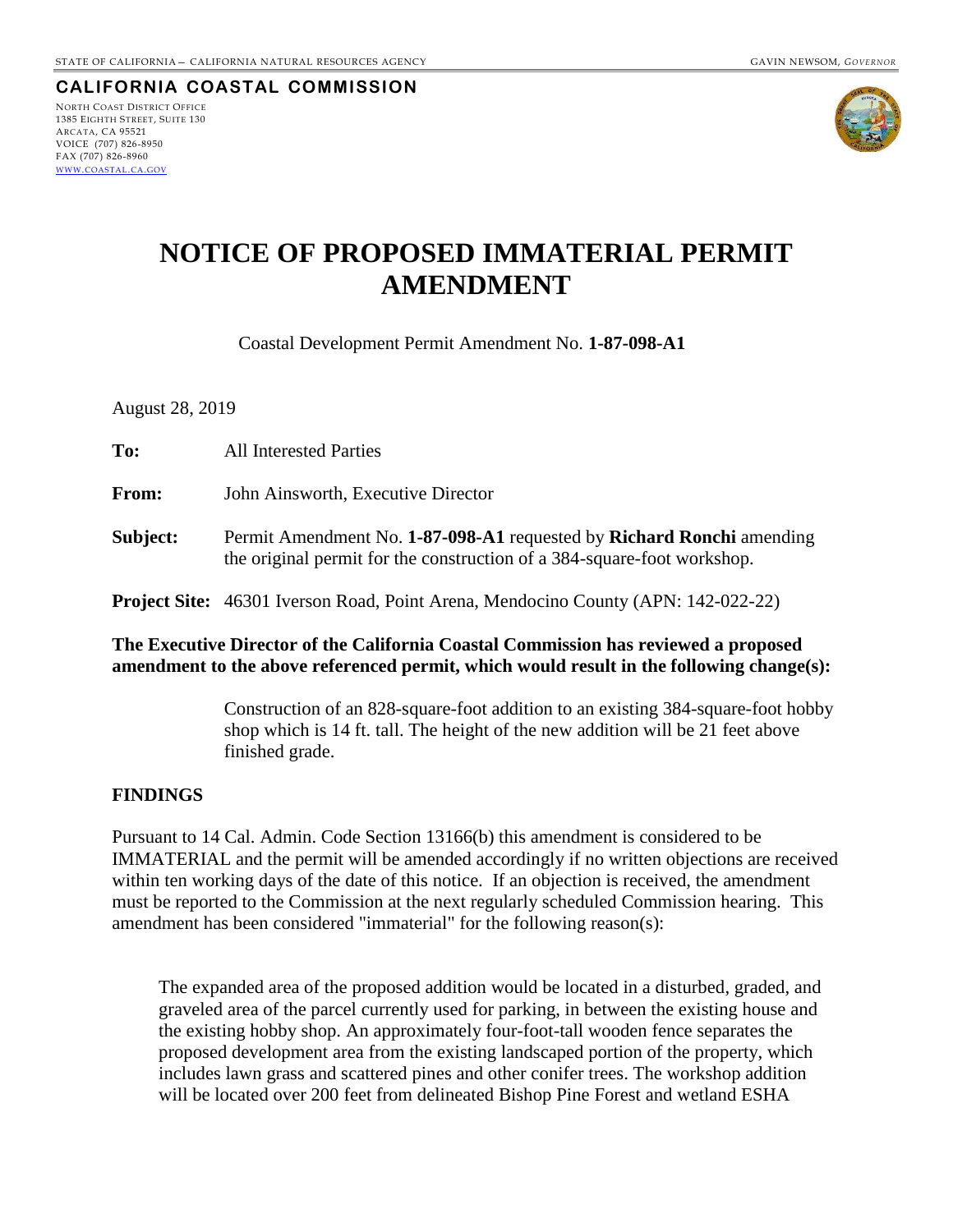**CALIFORNIA COASTAL COMMISSION** NORTH COAST DISTRICT OFFICE

1385 EIGHTH STREET, SUITE 130 ARCATA, CA 95521 VOICE (707) 826-8950 FAX (707) 826-8960 WWW.[COASTAL](http://www.coastal.ca.gov/).CA.GOV



# **NOTICE OF PROPOSED IMMATERIAL PERMIT AMENDMENT**

Coastal Development Permit Amendment No. **1-87-098-A1**

August 28, 2019

| To:      | <b>All Interested Parties</b>                                                                                                                    |
|----------|--------------------------------------------------------------------------------------------------------------------------------------------------|
| From:    | John Ainsworth, Executive Director                                                                                                               |
| Subject: | Permit Amendment No. 1-87-098-A1 requested by Richard Ronchi amending<br>the original permit for the construction of a 384-square-foot workshop. |
|          | <b>Project Site:</b> 46301 Iverson Road, Point Arena, Mendocino County (APN: 142-022-22)                                                         |

## **The Executive Director of the California Coastal Commission has reviewed a proposed amendment to the above referenced permit, which would result in the following change(s):**

Construction of an 828-square-foot addition to an existing 384-square-foot hobby shop which is 14 ft. tall. The height of the new addition will be 21 feet above finished grade.

### **FINDINGS**

Pursuant to 14 Cal. Admin. Code Section 13166(b) this amendment is considered to be IMMATERIAL and the permit will be amended accordingly if no written objections are received within ten working days of the date of this notice. If an objection is received, the amendment must be reported to the Commission at the next regularly scheduled Commission hearing. This amendment has been considered "immaterial" for the following reason(s):

The expanded area of the proposed addition would be located in a disturbed, graded, and graveled area of the parcel currently used for parking, in between the existing house and the existing hobby shop. An approximately four-foot-tall wooden fence separates the proposed development area from the existing landscaped portion of the property, which includes lawn grass and scattered pines and other conifer trees. The workshop addition will be located over 200 feet from delineated Bishop Pine Forest and wetland ESHA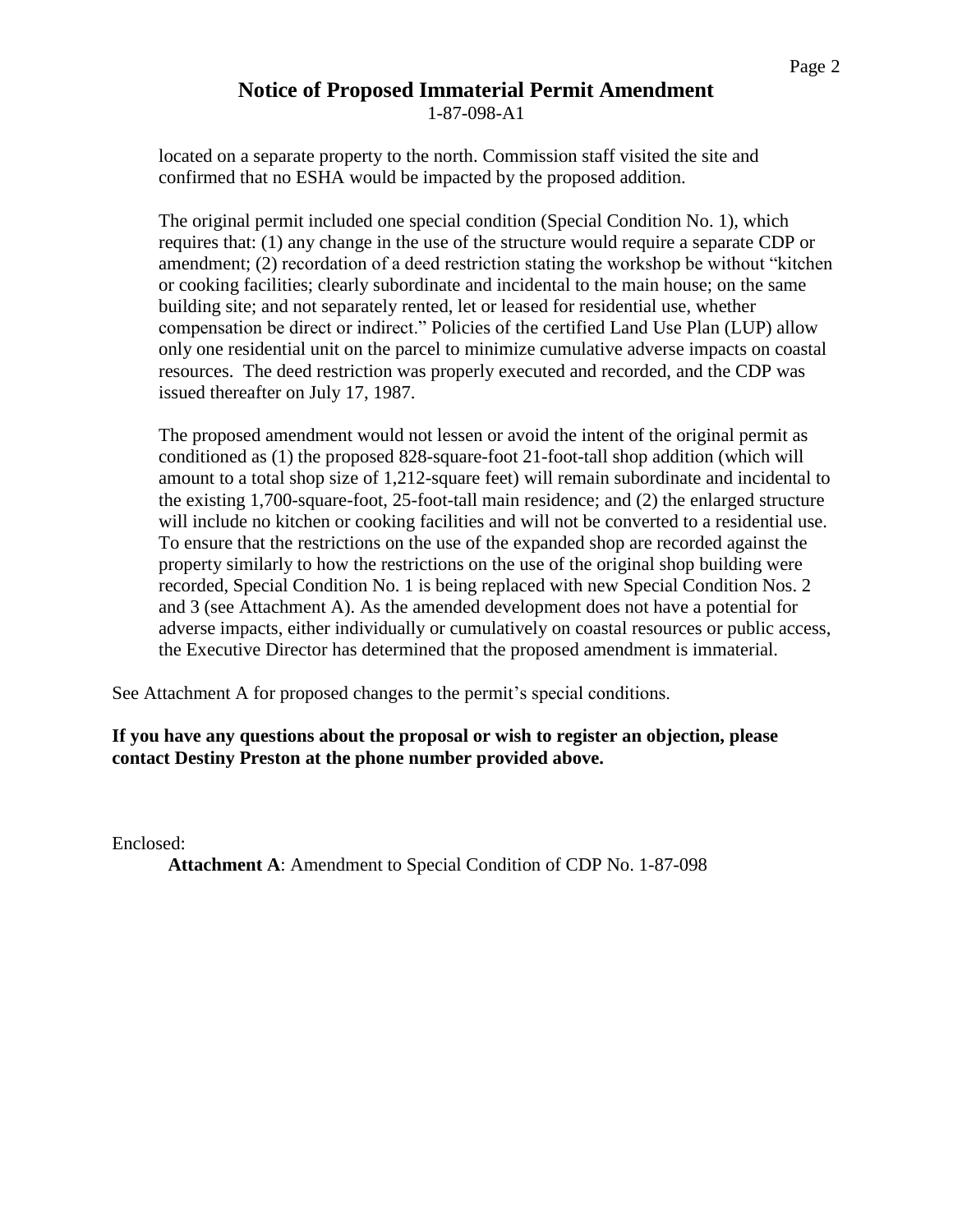# **Notice of Proposed Immaterial Permit Amendment**

1-87-098-A1

located on a separate property to the north. Commission staff visited the site and confirmed that no ESHA would be impacted by the proposed addition.

The original permit included one special condition (Special Condition No. 1), which requires that: (1) any change in the use of the structure would require a separate CDP or amendment; (2) recordation of a deed restriction stating the workshop be without "kitchen or cooking facilities; clearly subordinate and incidental to the main house; on the same building site; and not separately rented, let or leased for residential use, whether compensation be direct or indirect." Policies of the certified Land Use Plan (LUP) allow only one residential unit on the parcel to minimize cumulative adverse impacts on coastal resources. The deed restriction was properly executed and recorded, and the CDP was issued thereafter on July 17, 1987.

The proposed amendment would not lessen or avoid the intent of the original permit as conditioned as (1) the proposed 828-square-foot 21-foot-tall shop addition (which will amount to a total shop size of 1,212-square feet) will remain subordinate and incidental to the existing 1,700-square-foot, 25-foot-tall main residence; and (2) the enlarged structure will include no kitchen or cooking facilities and will not be converted to a residential use. To ensure that the restrictions on the use of the expanded shop are recorded against the property similarly to how the restrictions on the use of the original shop building were recorded, Special Condition No. 1 is being replaced with new Special Condition Nos. 2 and 3 (see Attachment A). As the amended development does not have a potential for adverse impacts, either individually or cumulatively on coastal resources or public access, the Executive Director has determined that the proposed amendment is immaterial.

See Attachment A for proposed changes to the permit's special conditions.

# **If you have any questions about the proposal or wish to register an objection, please contact Destiny Preston at the phone number provided above.**

Enclosed:

**Attachment A**: Amendment to Special Condition of CDP No. 1-87-098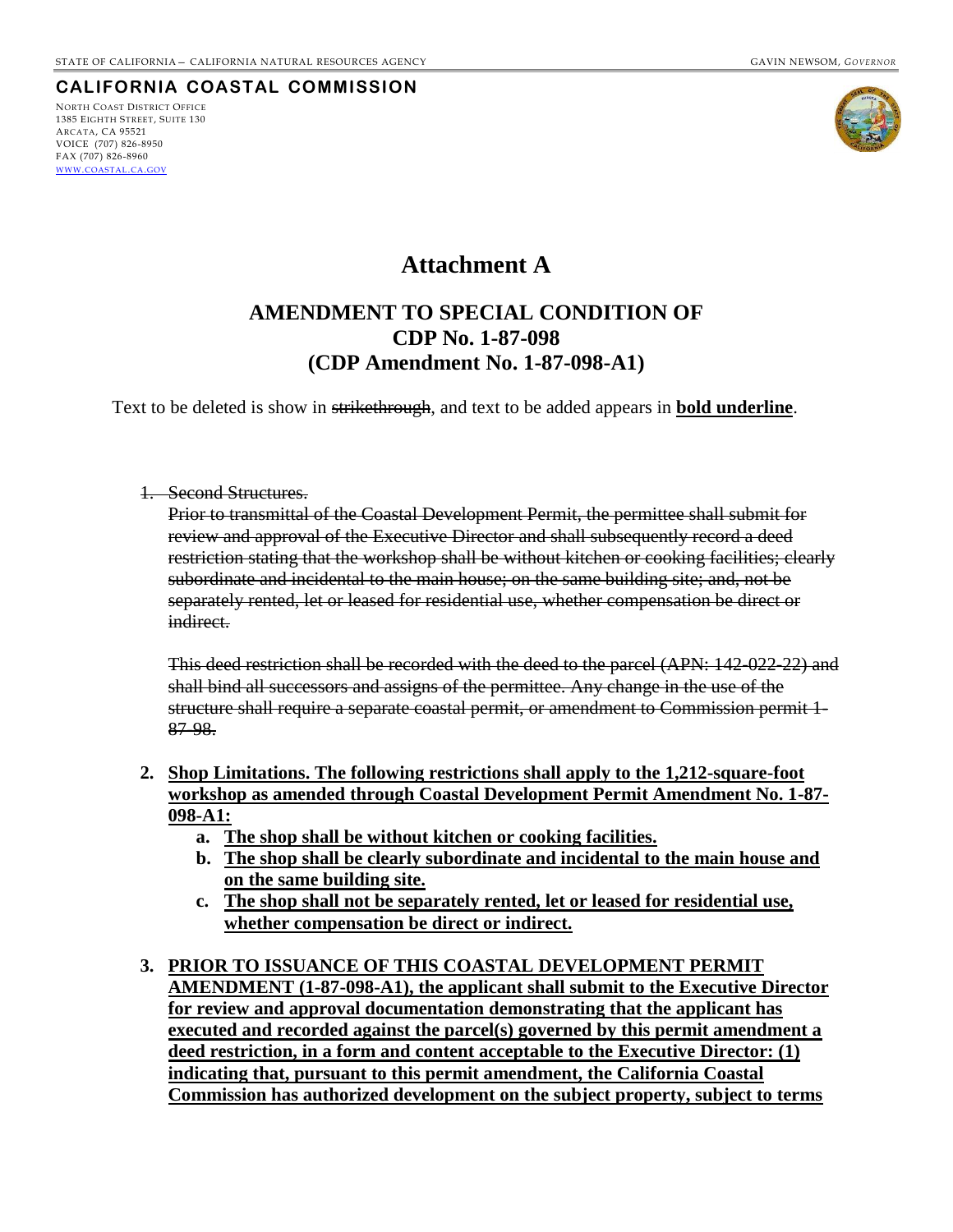## **CALIFORNIA COASTAL COMMISSION**

NORTH COAST DISTRICT OFFICE 1385 EIGHTH STREET, SUITE 130 ARCATA, CA 95521 VOICE (707) 826-8950 FAX (707) 826-8960 WWW.[COASTAL](http://www.coastal.ca.gov/).CA.GOV



# **Attachment A**

# **AMENDMENT TO SPECIAL CONDITION OF CDP No. 1-87-098 (CDP Amendment No. 1-87-098-A1)**

Text to be deleted is show in strikethrough, and text to be added appears in **bold underline**.

#### 1. Second Structures.

Prior to transmittal of the Coastal Development Permit, the permittee shall submit for review and approval of the Executive Director and shall subsequently record a deed restriction stating that the workshop shall be without kitchen or cooking facilities; clearly subordinate and incidental to the main house; on the same building site; and, not be separately rented, let or leased for residential use, whether compensation be direct or indirect.

This deed restriction shall be recorded with the deed to the parcel (APN: 142-022-22) and shall bind all successors and assigns of the permittee. Any change in the use of the structure shall require a separate coastal permit, or amendment to Commission permit 1- 87-98.

- **2. Shop Limitations. The following restrictions shall apply to the 1,212-square-foot workshop as amended through Coastal Development Permit Amendment No. 1-87- 098-A1:**
	- **a. The shop shall be without kitchen or cooking facilities.**
	- **b. The shop shall be clearly subordinate and incidental to the main house and on the same building site.**
	- **c. The shop shall not be separately rented, let or leased for residential use, whether compensation be direct or indirect.**
- **3. PRIOR TO ISSUANCE OF THIS COASTAL DEVELOPMENT PERMIT AMENDMENT (1-87-098-A1), the applicant shall submit to the Executive Director for review and approval documentation demonstrating that the applicant has executed and recorded against the parcel(s) governed by this permit amendment a deed restriction, in a form and content acceptable to the Executive Director: (1) indicating that, pursuant to this permit amendment, the California Coastal Commission has authorized development on the subject property, subject to terms**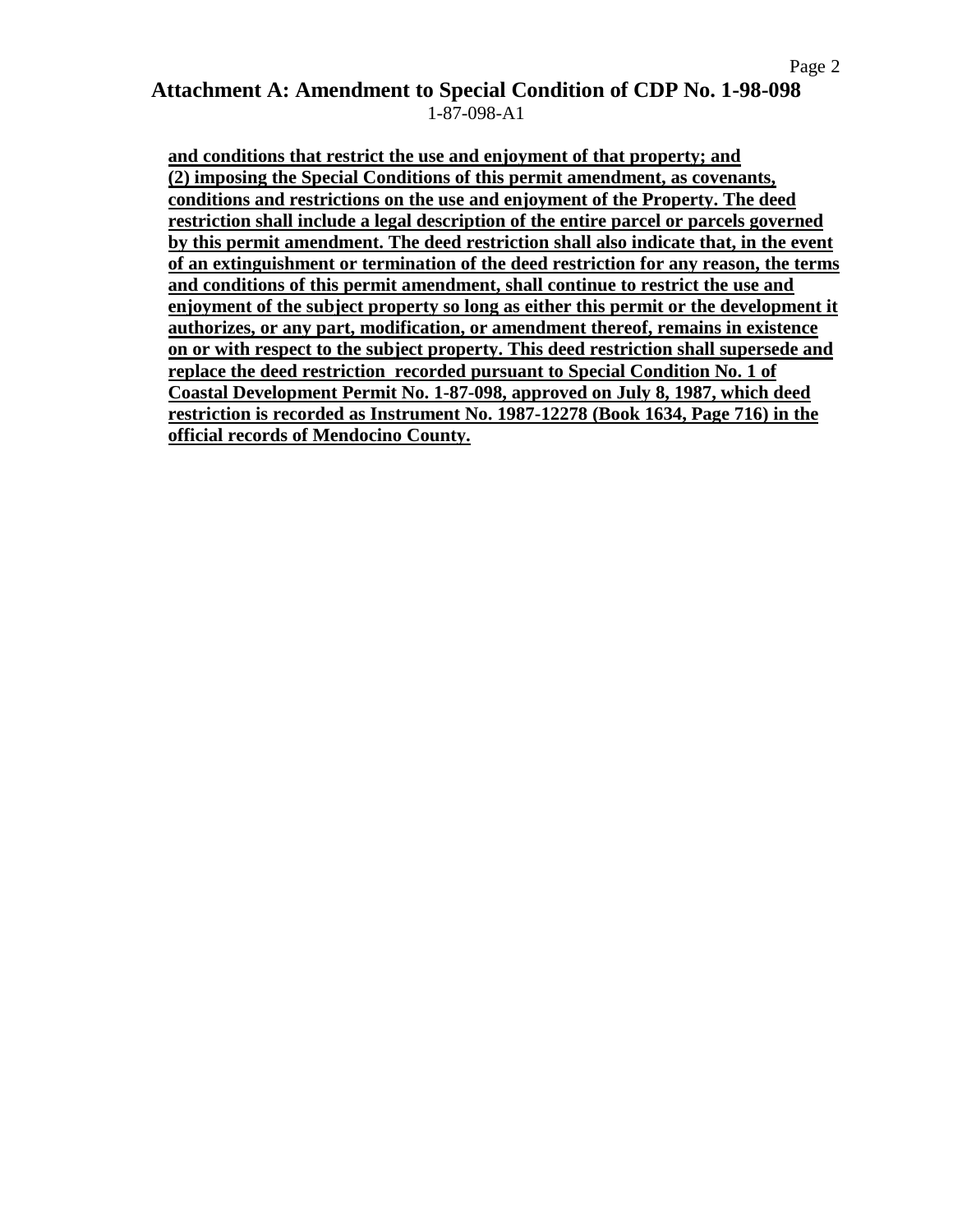# **Attachment A: Amendment to Special Condition of CDP No. 1-98-098** 1-87-098-A1

**and conditions that restrict the use and enjoyment of that property; and (2) imposing the Special Conditions of this permit amendment, as covenants, conditions and restrictions on the use and enjoyment of the Property. The deed restriction shall include a legal description of the entire parcel or parcels governed by this permit amendment. The deed restriction shall also indicate that, in the event of an extinguishment or termination of the deed restriction for any reason, the terms and conditions of this permit amendment, shall continue to restrict the use and enjoyment of the subject property so long as either this permit or the development it authorizes, or any part, modification, or amendment thereof, remains in existence on or with respect to the subject property. This deed restriction shall supersede and replace the deed restriction recorded pursuant to Special Condition No. 1 of Coastal Development Permit No. 1-87-098, approved on July 8, 1987, which deed restriction is recorded as Instrument No. 1987-12278 (Book 1634, Page 716) in the official records of Mendocino County.**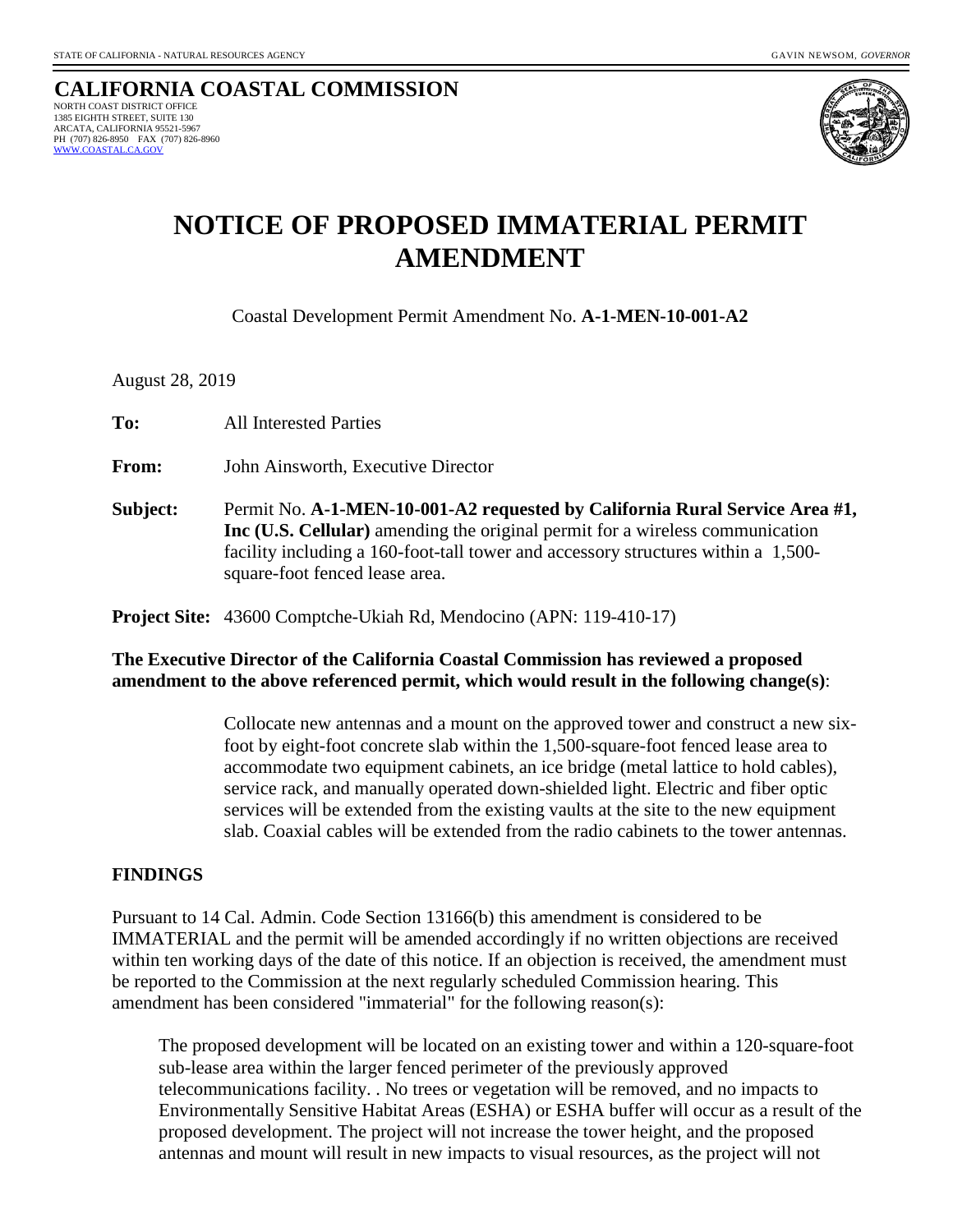#### **CALIFORNIA COASTAL COMMISSION** NORTH COAST DISTRICT OFFICE 1385 EIGHTH STREET, SUITE 130 ARCATA, CALIFORNIA 95521-5967 PH (707) 826-8950 FAX (707) 826-8960  [WWW.COASTAL.CA.GOV](http://www.coastal.ca.gov/)



# **NOTICE OF PROPOSED IMMATERIAL PERMIT AMENDMENT**

Coastal Development Permit Amendment No. **A-1-MEN-10-001-A2**

August 28, 2019

**To:** All Interested Parties

**From:** John Ainsworth, Executive Director

**Subject:** Permit No. **A-1-MEN-10-001-A2 requested by California Rural Service Area #1, Inc (U.S. Cellular)** amending the original permit for a wireless communication facility including a 160-foot-tall tower and accessory structures within a 1,500 square-foot fenced lease area.

**Project Site:** 43600 Comptche-Ukiah Rd, Mendocino (APN: 119-410-17)

# **The Executive Director of the California Coastal Commission has reviewed a proposed amendment to the above referenced permit, which would result in the following change(s)**:

Collocate new antennas and a mount on the approved tower and construct a new sixfoot by eight-foot concrete slab within the 1,500-square-foot fenced lease area to accommodate two equipment cabinets, an ice bridge (metal lattice to hold cables), service rack, and manually operated down-shielded light. Electric and fiber optic services will be extended from the existing vaults at the site to the new equipment slab. Coaxial cables will be extended from the radio cabinets to the tower antennas.

# **FINDINGS**

Pursuant to 14 Cal. Admin. Code Section 13166(b) this amendment is considered to be IMMATERIAL and the permit will be amended accordingly if no written objections are received within ten working days of the date of this notice. If an objection is received, the amendment must be reported to the Commission at the next regularly scheduled Commission hearing. This amendment has been considered "immaterial" for the following reason(s):

The proposed development will be located on an existing tower and within a 120-square-foot sub-lease area within the larger fenced perimeter of the previously approved telecommunications facility. . No trees or vegetation will be removed, and no impacts to Environmentally Sensitive Habitat Areas (ESHA) or ESHA buffer will occur as a result of the proposed development. The project will not increase the tower height, and the proposed antennas and mount will result in new impacts to visual resources, as the project will not